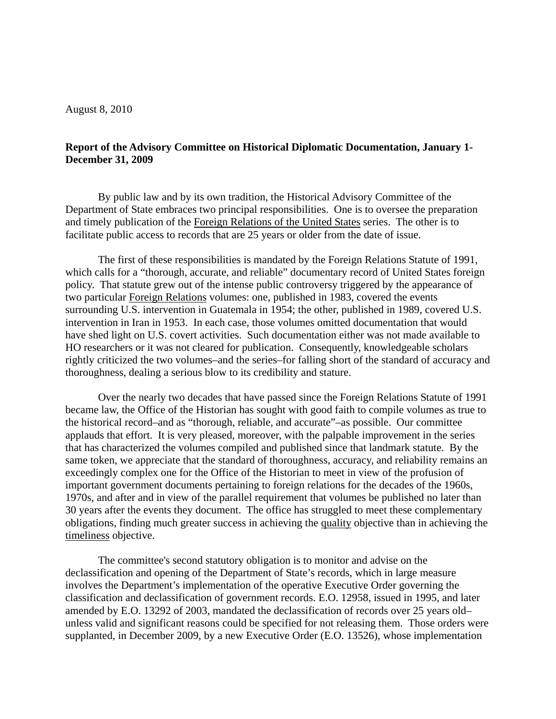August 8, 2010

## **Report of the Advisory Committee on Historical Diplomatic Documentation, January 1- December 31, 2009**

By public law and by its own tradition, the Historical Advisory Committee of the Department of State embraces two principal responsibilities. One is to oversee the preparation and timely publication of the Foreign Relations of the United States series. The other is to facilitate public access to records that are 25 years or older from the date of issue.

The first of these responsibilities is mandated by the Foreign Relations Statute of 1991, which calls for a "thorough, accurate, and reliable" documentary record of United States foreign policy. That statute grew out of the intense public controversy triggered by the appearance of two particular Foreign Relations volumes: one, published in 1983, covered the events surrounding U.S. intervention in Guatemala in 1954; the other, published in 1989, covered U.S. intervention in Iran in 1953. In each case, those volumes omitted documentation that would have shed light on U.S. covert activities. Such documentation either was not made available to HO researchers or it was not cleared for publication. Consequently, knowledgeable scholars rightly criticized the two volumes–and the series–for falling short of the standard of accuracy and thoroughness, dealing a serious blow to its credibility and stature.

Over the nearly two decades that have passed since the Foreign Relations Statute of 1991 became law, the Office of the Historian has sought with good faith to compile volumes as true to the historical record–and as "thorough, reliable, and accurate"–as possible. Our committee applauds that effort. It is very pleased, moreover, with the palpable improvement in the series that has characterized the volumes compiled and published since that landmark statute. By the same token, we appreciate that the standard of thoroughness, accuracy, and reliability remains an exceedingly complex one for the Office of the Historian to meet in view of the profusion of important government documents pertaining to foreign relations for the decades of the 1960s, 1970s, and after and in view of the parallel requirement that volumes be published no later than 30 years after the events they document. The office has struggled to meet these complementary obligations, finding much greater success in achieving the quality objective than in achieving the timeliness objective.

The committee's second statutory obligation is to monitor and advise on the declassification and opening of the Department of State's records, which in large measure involves the Department's implementation of the operative Executive Order governing the classification and declassification of government records. E.O. 12958, issued in 1995, and later amended by E.O. 13292 of 2003, mandated the declassification of records over 25 years old– unless valid and significant reasons could be specified for not releasing them. Those orders were supplanted, in December 2009, by a new Executive Order (E.O. 13526), whose implementation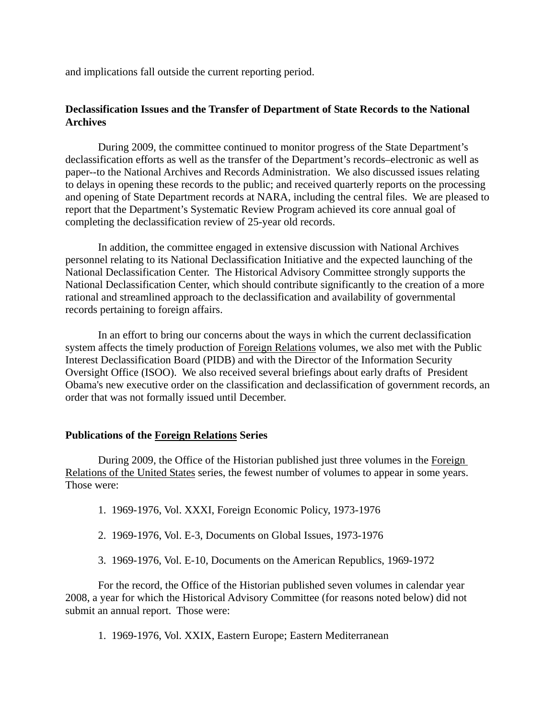and implications fall outside the current reporting period.

# **Declassification Issues and the Transfer of Department of State Records to the National Archives**

During 2009, the committee continued to monitor progress of the State Department's declassification efforts as well as the transfer of the Department's records–electronic as well as paper--to the National Archives and Records Administration. We also discussed issues relating to delays in opening these records to the public; and received quarterly reports on the processing and opening of State Department records at NARA, including the central files. We are pleased to report that the Department's Systematic Review Program achieved its core annual goal of completing the declassification review of 25-year old records.

In addition, the committee engaged in extensive discussion with National Archives personnel relating to its National Declassification Initiative and the expected launching of the National Declassification Center. The Historical Advisory Committee strongly supports the National Declassification Center, which should contribute significantly to the creation of a more rational and streamlined approach to the declassification and availability of governmental records pertaining to foreign affairs.

In an effort to bring our concerns about the ways in which the current declassification system affects the timely production of Foreign Relations volumes, we also met with the Public Interest Declassification Board (PIDB) and with the Director of the Information Security Oversight Office (ISOO). We also received several briefings about early drafts of President Obama's new executive order on the classification and declassification of government records, an order that was not formally issued until December.

## **Publications of the Foreign Relations Series**

During 2009, the Office of the Historian published just three volumes in the Foreign Relations of the United States series, the fewest number of volumes to appear in some years. Those were:

- 1. 1969-1976, Vol. XXXI, Foreign Economic Policy, 1973-1976
- 2. 1969-1976, Vol. E-3, Documents on Global Issues, 1973-1976
- 3. 1969-1976, Vol. E-10, Documents on the American Republics, 1969-1972

For the record, the Office of the Historian published seven volumes in calendar year 2008, a year for which the Historical Advisory Committee (for reasons noted below) did not submit an annual report. Those were:

1. 1969-1976, Vol. XXIX, Eastern Europe; Eastern Mediterranean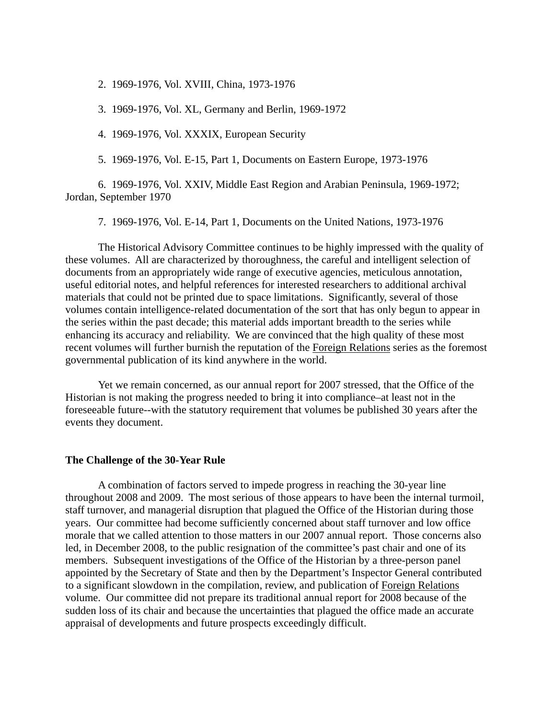2. 1969-1976, Vol. XVIII, China, 1973-1976

3. 1969-1976, Vol. XL, Germany and Berlin, 1969-1972

4. 1969-1976, Vol. XXXIX, European Security

5. 1969-1976, Vol. E-15, Part 1, Documents on Eastern Europe, 1973-1976

6. 1969-1976, Vol. XXIV, Middle East Region and Arabian Peninsula, 1969-1972; Jordan, September 1970

7. 1969-1976, Vol. E-14, Part 1, Documents on the United Nations, 1973-1976

The Historical Advisory Committee continues to be highly impressed with the quality of these volumes. All are characterized by thoroughness, the careful and intelligent selection of documents from an appropriately wide range of executive agencies, meticulous annotation, useful editorial notes, and helpful references for interested researchers to additional archival materials that could not be printed due to space limitations. Significantly, several of those volumes contain intelligence-related documentation of the sort that has only begun to appear in the series within the past decade; this material adds important breadth to the series while enhancing its accuracy and reliability. We are convinced that the high quality of these most recent volumes will further burnish the reputation of the Foreign Relations series as the foremost governmental publication of its kind anywhere in the world.

Yet we remain concerned, as our annual report for 2007 stressed, that the Office of the Historian is not making the progress needed to bring it into compliance–at least not in the foreseeable future--with the statutory requirement that volumes be published 30 years after the events they document.

#### **The Challenge of the 30-Year Rule**

A combination of factors served to impede progress in reaching the 30-year line throughout 2008 and 2009. The most serious of those appears to have been the internal turmoil, staff turnover, and managerial disruption that plagued the Office of the Historian during those years. Our committee had become sufficiently concerned about staff turnover and low office morale that we called attention to those matters in our 2007 annual report. Those concerns also led, in December 2008, to the public resignation of the committee's past chair and one of its members. Subsequent investigations of the Office of the Historian by a three-person panel appointed by the Secretary of State and then by the Department's Inspector General contributed to a significant slowdown in the compilation, review, and publication of Foreign Relations volume. Our committee did not prepare its traditional annual report for 2008 because of the sudden loss of its chair and because the uncertainties that plagued the office made an accurate appraisal of developments and future prospects exceedingly difficult.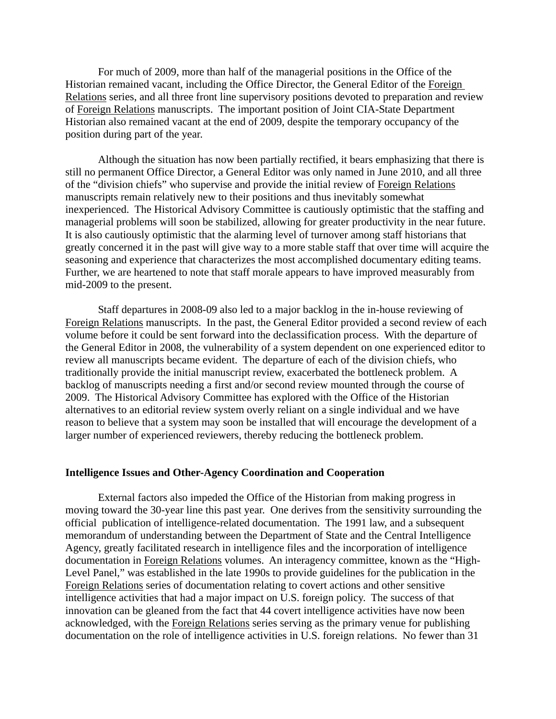For much of 2009, more than half of the managerial positions in the Office of the Historian remained vacant, including the Office Director, the General Editor of the Foreign Relations series, and all three front line supervisory positions devoted to preparation and review of Foreign Relations manuscripts. The important position of Joint CIA-State Department Historian also remained vacant at the end of 2009, despite the temporary occupancy of the position during part of the year.

Although the situation has now been partially rectified, it bears emphasizing that there is still no permanent Office Director, a General Editor was only named in June 2010, and all three of the "division chiefs" who supervise and provide the initial review of Foreign Relations manuscripts remain relatively new to their positions and thus inevitably somewhat inexperienced. The Historical Advisory Committee is cautiously optimistic that the staffing and managerial problems will soon be stabilized, allowing for greater productivity in the near future. It is also cautiously optimistic that the alarming level of turnover among staff historians that greatly concerned it in the past will give way to a more stable staff that over time will acquire the seasoning and experience that characterizes the most accomplished documentary editing teams. Further, we are heartened to note that staff morale appears to have improved measurably from mid-2009 to the present.

Staff departures in 2008-09 also led to a major backlog in the in-house reviewing of Foreign Relations manuscripts. In the past, the General Editor provided a second review of each volume before it could be sent forward into the declassification process. With the departure of the General Editor in 2008, the vulnerability of a system dependent on one experienced editor to review all manuscripts became evident. The departure of each of the division chiefs, who traditionally provide the initial manuscript review, exacerbated the bottleneck problem. A backlog of manuscripts needing a first and/or second review mounted through the course of 2009. The Historical Advisory Committee has explored with the Office of the Historian alternatives to an editorial review system overly reliant on a single individual and we have reason to believe that a system may soon be installed that will encourage the development of a larger number of experienced reviewers, thereby reducing the bottleneck problem.

#### **Intelligence Issues and Other-Agency Coordination and Cooperation**

External factors also impeded the Office of the Historian from making progress in moving toward the 30-year line this past year. One derives from the sensitivity surrounding the official publication of intelligence-related documentation. The 1991 law, and a subsequent memorandum of understanding between the Department of State and the Central Intelligence Agency, greatly facilitated research in intelligence files and the incorporation of intelligence documentation in Foreign Relations volumes. An interagency committee, known as the "High-Level Panel," was established in the late 1990s to provide guidelines for the publication in the Foreign Relations series of documentation relating to covert actions and other sensitive intelligence activities that had a major impact on U.S. foreign policy. The success of that innovation can be gleaned from the fact that 44 covert intelligence activities have now been acknowledged, with the Foreign Relations series serving as the primary venue for publishing documentation on the role of intelligence activities in U.S. foreign relations. No fewer than 31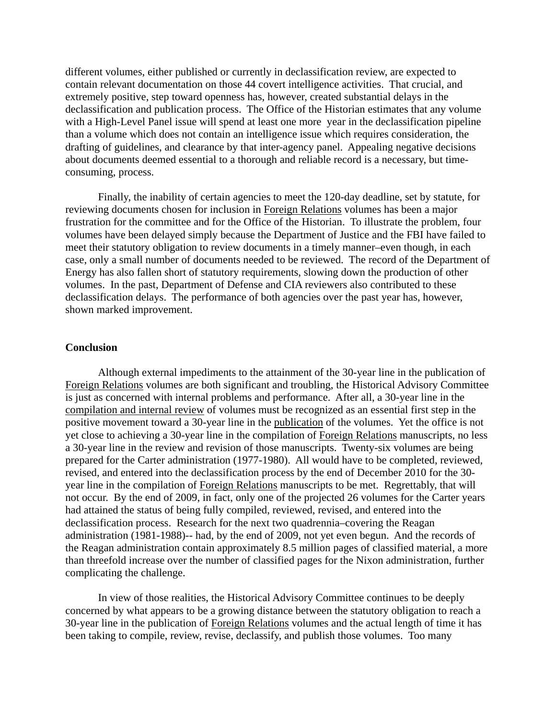different volumes, either published or currently in declassification review, are expected to contain relevant documentation on those 44 covert intelligence activities. That crucial, and extremely positive, step toward openness has, however, created substantial delays in the declassification and publication process. The Office of the Historian estimates that any volume with a High-Level Panel issue will spend at least one more year in the declassification pipeline than a volume which does not contain an intelligence issue which requires consideration, the drafting of guidelines, and clearance by that inter-agency panel. Appealing negative decisions about documents deemed essential to a thorough and reliable record is a necessary, but timeconsuming, process.

Finally, the inability of certain agencies to meet the 120-day deadline, set by statute, for reviewing documents chosen for inclusion in Foreign Relations volumes has been a major frustration for the committee and for the Office of the Historian. To illustrate the problem, four volumes have been delayed simply because the Department of Justice and the FBI have failed to meet their statutory obligation to review documents in a timely manner–even though, in each case, only a small number of documents needed to be reviewed. The record of the Department of Energy has also fallen short of statutory requirements, slowing down the production of other volumes. In the past, Department of Defense and CIA reviewers also contributed to these declassification delays. The performance of both agencies over the past year has, however, shown marked improvement.

### **Conclusion**

Although external impediments to the attainment of the 30-year line in the publication of Foreign Relations volumes are both significant and troubling, the Historical Advisory Committee is just as concerned with internal problems and performance. After all, a 30-year line in the compilation and internal review of volumes must be recognized as an essential first step in the positive movement toward a 30-year line in the publication of the volumes. Yet the office is not yet close to achieving a 30-year line in the compilation of Foreign Relations manuscripts, no less a 30-year line in the review and revision of those manuscripts. Twenty-six volumes are being prepared for the Carter administration (1977-1980). All would have to be completed, reviewed, revised, and entered into the declassification process by the end of December 2010 for the 30 year line in the compilation of Foreign Relations manuscripts to be met. Regrettably, that will not occur. By the end of 2009, in fact, only one of the projected 26 volumes for the Carter years had attained the status of being fully compiled, reviewed, revised, and entered into the declassification process. Research for the next two quadrennia–covering the Reagan administration (1981-1988)-- had, by the end of 2009, not yet even begun. And the records of the Reagan administration contain approximately 8.5 million pages of classified material, a more than threefold increase over the number of classified pages for the Nixon administration, further complicating the challenge.

In view of those realities, the Historical Advisory Committee continues to be deeply concerned by what appears to be a growing distance between the statutory obligation to reach a 30-year line in the publication of Foreign Relations volumes and the actual length of time it has been taking to compile, review, revise, declassify, and publish those volumes. Too many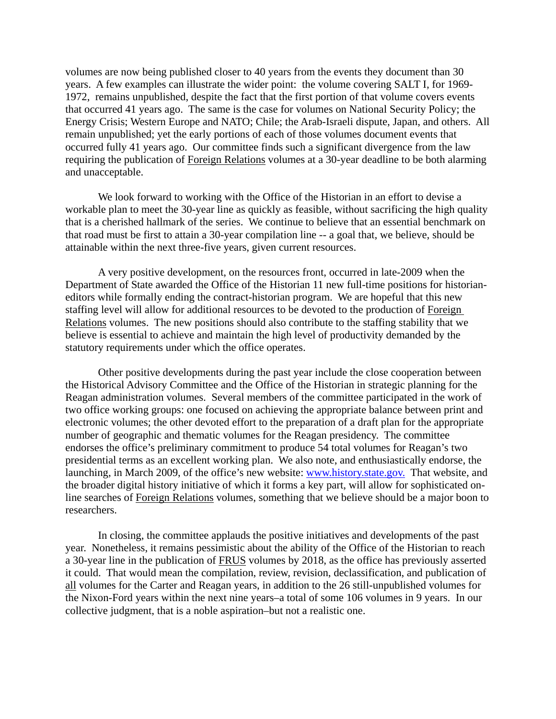volumes are now being published closer to 40 years from the events they document than 30 years. A few examples can illustrate the wider point: the volume covering SALT I, for 1969- 1972, remains unpublished, despite the fact that the first portion of that volume covers events that occurred 41 years ago. The same is the case for volumes on National Security Policy; the Energy Crisis; Western Europe and NATO; Chile; the Arab-Israeli dispute, Japan, and others. All remain unpublished; yet the early portions of each of those volumes document events that occurred fully 41 years ago. Our committee finds such a significant divergence from the law requiring the publication of Foreign Relations volumes at a 30-year deadline to be both alarming and unacceptable.

We look forward to working with the Office of the Historian in an effort to devise a workable plan to meet the 30-year line as quickly as feasible, without sacrificing the high quality that is a cherished hallmark of the series. We continue to believe that an essential benchmark on that road must be first to attain a 30-year compilation line -- a goal that, we believe, should be attainable within the next three-five years, given current resources.

A very positive development, on the resources front, occurred in late-2009 when the Department of State awarded the Office of the Historian 11 new full-time positions for historianeditors while formally ending the contract-historian program. We are hopeful that this new staffing level will allow for additional resources to be devoted to the production of Foreign Relations volumes. The new positions should also contribute to the staffing stability that we believe is essential to achieve and maintain the high level of productivity demanded by the statutory requirements under which the office operates.

Other positive developments during the past year include the close cooperation between the Historical Advisory Committee and the Office of the Historian in strategic planning for the Reagan administration volumes. Several members of the committee participated in the work of two office working groups: one focused on achieving the appropriate balance between print and electronic volumes; the other devoted effort to the preparation of a draft plan for the appropriate number of geographic and thematic volumes for the Reagan presidency. The committee endorses the office's preliminary commitment to produce 54 total volumes for Reagan's two presidential terms as an excellent working plan. We also note, and enthusiastically endorse, the launching, in March 2009, of the office's new website: www.history.state.gov. That website, and the broader digital history initiative of which it forms a key part, will allow for sophisticated online searches of Foreign Relations volumes, something that we believe should be a major boon to researchers.

In closing, the committee applauds the positive initiatives and developments of the past year. Nonetheless, it remains pessimistic about the ability of the Office of the Historian to reach a 30-year line in the publication of FRUS volumes by 2018, as the office has previously asserted it could. That would mean the compilation, review, revision, declassification, and publication of all volumes for the Carter and Reagan years, in addition to the 26 still-unpublished volumes for the Nixon-Ford years within the next nine years–a total of some 106 volumes in 9 years. In our collective judgment, that is a noble aspiration–but not a realistic one.